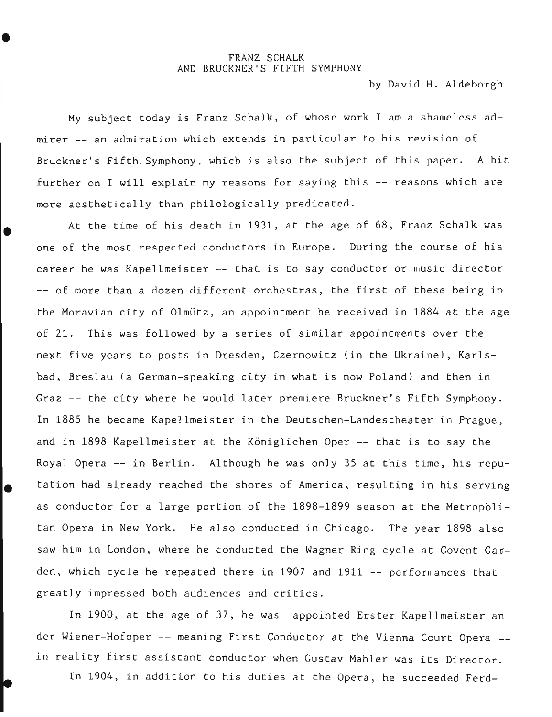## FRANZ SCHALK AND BRUCKNER'S FIFTH SYMPHONY

by David H. Aldeborgh

My subject today is Franz Schalk, of whose work I am a shameless admirer -- an admiration which extends in particular to his revision of Bruckner's Fifth. Symphony, which is also the subject of this paper. A bit further on I will explain my reasons for saying this -- reasons which are more aesthetically than philologically predicated.

At the time of his death in 1931, at the age of 68, Franz Schalk was one of the most respected conductors in Europe. During the course of his career he was Kapellmeister -- that is to say conductor or music director -- of more than a dozen different orchestras, the first of these being in the Moravian city of Olmütz, an appointment he received in 1884 at the age of 21. This was followed by a series of similar appointments over the next five years to posts in Dresden, Czernowitz (in the Ukraine), Karlsbad, Breslau (a German-speaking city in what is now Poland) and then in Graz -- the city where he would later premiere Bruckner's Fifth Symphony. In 1885 he became Kapellmeister in the Deutschen-Landestheater in Prague, and in 1898 Kapellmeister at the Königlichen Oper -- that is to say the Royal Opera -- in Berlin. Although he was only 35 at this time, his repu tation had already reached the shores of America, resulting in his serving as conductor for a large portion of the 1898-1899 season at the Metropolitan Opera in New York. He also conducted in Chicago. The year 1898 also saw him in London, where he conducted the Wagner Ring cycle at Covent Garden, which cycle he repeated there in 1907 and 1911 -- performances that greatly impressed both audiences and critics.

In 1900, at the age of 37, he was appointed Erster Kapellmeister an der Wiener-Hofoper -- meaning First Conductor at the Vienna Court Opera - in reality first assistant conductor when Gustav Mahler was its Director.

In 1904, in addition to his duties at the Opera, he succeeded Ferd-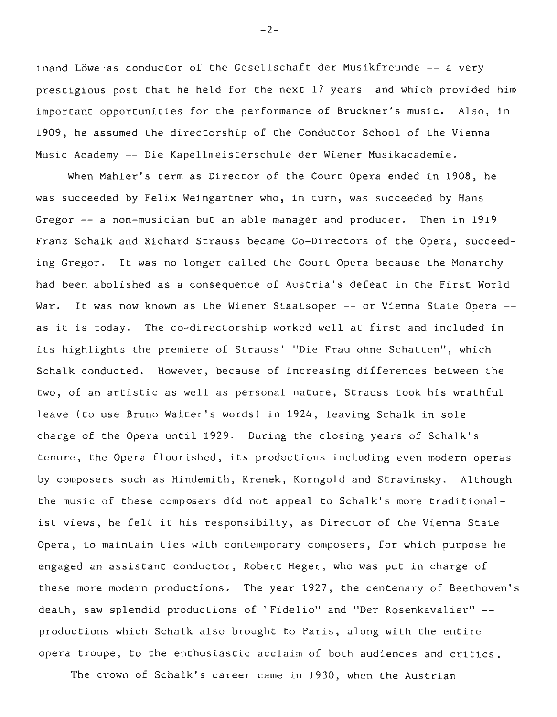inand Löwe as conductor of the Gesellschaft der Musikfreunde -- a very prestigious post that he held for the next 17 years and which provided him important opportunities for the performance of Bruckner's music. Also, in 1909, he assumed the directorship of the Conductor School of the Vienna Music Academy -- Die Kapellmeisterschule der Wiener Musikacademie.

When Mahler's term as Director of the Court Opera ended in 1908, he was succeeded by Felix Weingartner who, in turn, was succeeded by Hans Gregor -- a non-musician but an able manager and producer. Then in 1919 Franz Schalk and Richard Strauss became Co-Directors of the Opera, succeeding Gregor. It was no longer called the Court Opera because the Monarchy had been abolished as a consequence of Austria's defeat in the First World War. It was now known as the Wiener Staatsoper -- or Vienna State Opera -as it is today. The co-directorship worked well at first and included in its highlights the premiere of Strauss' "Die Frau ohne Schatten", which Schalk conducted. However, because of increasing differences between the two, of an artistic as well as personal nature, Strauss took his wrathful leave (to use Bruno Walter's words) in 1924, leaving Schalk in sole charge of the Opera until 1929. During the closing years of Schalk's tenure, the Opera flourished, its productions including even modern operas by composers such as Hindemith, Krenek, Korngold and Stravinsky. Although the music of these composers did not appeal to Schalk's more traditionalist views, he felt it his responsibilty, as Director of the Vienna State Opera, to maintain ties with contemporary composers, for which purpose he engaged an assistant conductor, Robert Heger, who was put in charge of these more modern productions. The year 1927, the centenary of Beethoven's death, saw splendid productions of "Fidelio" and "Der Rosenkavalier" - productions which Schalk also brought to Paris, along with the entire opera troupe, to the enthusiastic acclaim of both audiences and critics.

The crown of Schalk's career came in 1930, when the Austrian

 $-2-$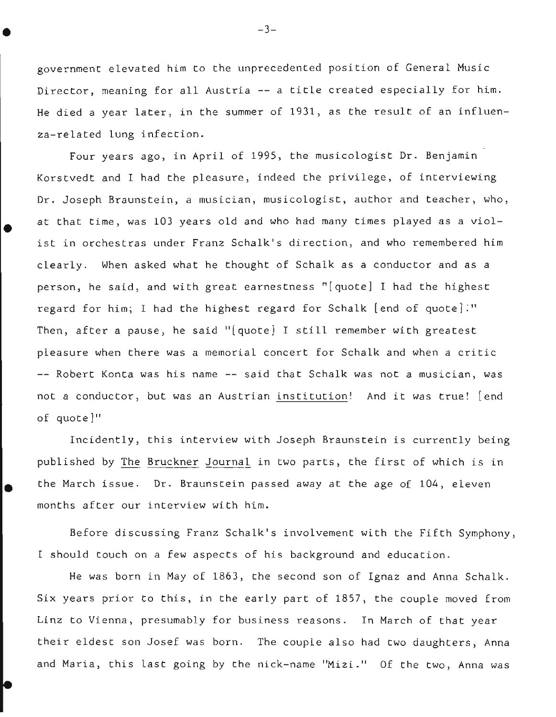government elevated him to the unprecedented position of General Music Director, meaning for all Austria -- a title created especially for him. He died a year later, in the summer of 1931, as the result of an influenza-related lung infection.

Four years ago, in April of 1995, the musicologist Dr. Benjamin Korstvedt and I had the pleasure, indeed the privilege, of interviewing Dr. Joseph Braunstein, a musician, musicologist, author and teacher, who, at that time, was 103 years old and who had many times played as a violist in orchestras under Franz Schalk's direction, and who remembered him clearly. When asked what he thought of Schalk as a conductor and as a person, he said, and with great earnestness "[quote] I had the highest regard for him; I had the highest regard for Schalk [end of quote]." Then, after a pause, he said "[quote] I still remember with greatest pleasure when there was a memorial concert for Schalk and when a critic -- Robert Konta was his name -- said that Schalk was not a musician, was not a conductor, but was an Austrian institution! And it was true! [end of quote]"

•

Incidently, this interview with Joseph Braunstein is currently being published by The Bruckner Journal in two parts, the first of which is in the March issue. Dr. Braunstein passed away at the age of 104, eleven months after our interview with him.

Before discussing Franz Schalk's involvement with the Fifth Symphony, I should touch on a few aspects of his background and education.

He was born in May of 1863, the second son of Ignaz and Anna Schalk. Six years prior to this, in the early part of 1857, the couple moved from Linz to Vienna, presumably for business reasons. In March of that year their eldest son Josef was born. The couple also had two daughters, Anna and Maria, this last going by the nick-name "Mizi." Of the two, Anna was

-3-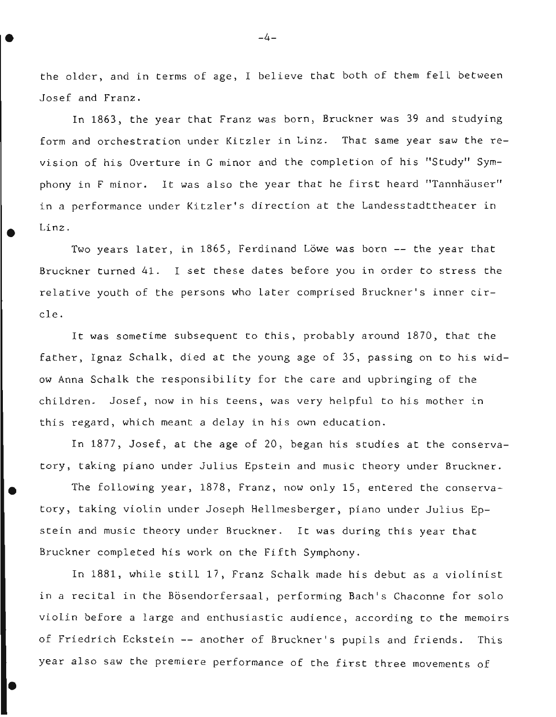the older, and in terms of age, I believe that both of them fell between Josef and Franz.

In 1863, the year that Franz was born, Bruckner was 39 and studying form and orchestration under Kitzler in Linz. That same year saw the revision of his Overture in G minor and the completion of his "Study" Symphony in F minor. It was also the year that he first heard "Tannhäuser" in a performance under Kitzler's direction at the Landesstadttheater in Linz.

Two years later, in 1865, Ferdinand Löwe was born -- the year that Bruckner turned 41. I set these dates before you in order to stress the relative youth of the persons who later comprised Bruckner's inner circle.

It was sometime subsequent to this, probably around 1870, that the father, Ignaz Schalk, died at the young age of 35, passing on to his widow Anna Schalk the responsibility for the care and upbringing of the children. Josef, now in his teens, was very helpful to his mother in this regard, which meant a delay in his own education.

In 1877, Josef, at the age of 20, began his studies at the conservatory, taking piano under Julius Epstein and music theory under Bruckner.

• The following year, 1878, Franz, now only 15, entered the conservatory, taking violin under Joseph Hellmesberger, piano under Julius Epstein and music theory under Bruckner. It was during this year that Bruckner completed his work on the Fifth Symphony.

In 1881, while still 17, Franz Schalk made his debut as a violinist in a recital in the Bösendorfersaal, performing Bach's Chaconne for solo violin before a large and enthusiastic audience, according to the memoirs of Friedrich Eckstein -- another of Bruckner's pupils and friends. This year also saw the premiere performance of the first three movements of

•

 $-4-$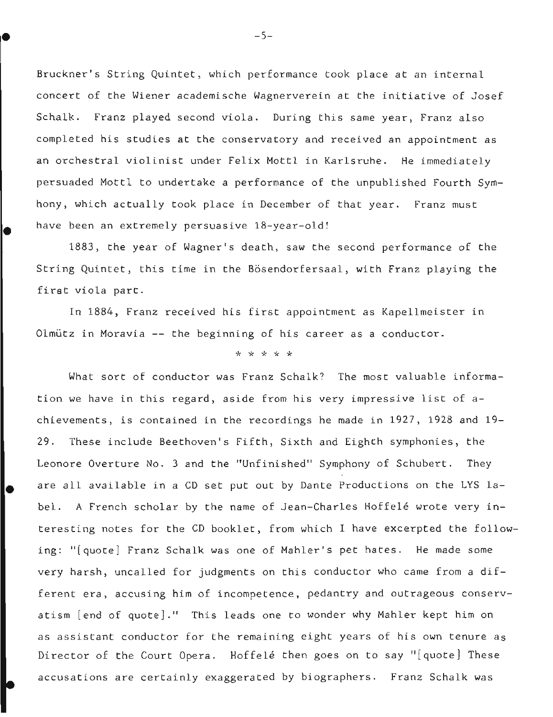Bruckner's String Quintet, which performance took place at an internal concert of the Wiener academische Wagnerverein at the initiative of Josef Schalk. Franz played second viola. During this same year, Franz also completed his studies at the conservatory and received an appointment as an orchestral violinist under Felix Mottl in Karlsruhe. He immediately persuaded Mottl to undertake a performance of the unpublished Fourth Symhony, which actually took place in December of that year. Franz must have been an extremely persuasive 18-year-old!

1883, the year of Wagner's death, saw the second performance of the String Quintet, this time in the Bösendorfersaal, with Franz playing the first viola part.

In 1884, Franz received his first appointment as Kapellmeister in Olmutz in Moravia -- the beginning of his career as a conductor.

## \* \* \* \* \*

What sort of conductor was Franz Schalk? The most valuable information we have in this regard, aside from his very impressive list of achievements, is contained in the recordings he made in 1927, 1928 and 19- 29. These include Beethoven's Fifth, Sixth and Eighth symphonies, the Leonore Overture No. 3 and the "Unfinished" Symphony of Schubert. They are all available in a CD set put out by Dante Productions on the LYS label. A French scholar by the name of Jean-Charles Hoffelé wrote very interesting notes for the CD booklet, from which I have excerpted the following: "[quote] Franz Schalk was one of Mahler's pet hates. He made some very harsh, uncalled for judgments on this conductor who came from a different era, accusing him of incompetence, pedantry and outrageous conservatism [end of quote]." This leads one to wonder why Mahler kept him on as assistant conductor for the remaining eight years of his own tenure as Director of the Court Opera. Hoffelé then goes on to say "[quote] These accusations are certainly exaggerated by biographers. Franz Schalk was

 $-5-$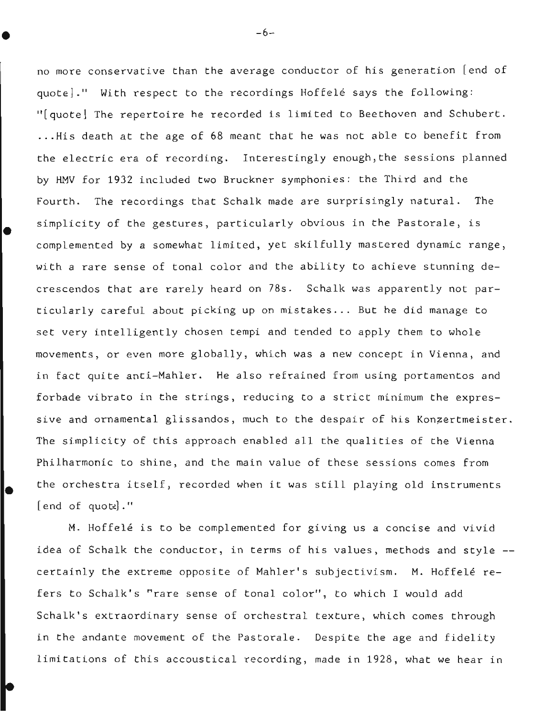no more conservative than the average conductor of his generation [end of quote]." With respect to the recordings Hoffele says the following: "[quote] The repertoire he recorded is limited to Beethoven and Schubert. ...His death at the age of 68 meant that he was not able to benefit from the electric era of recording. Interestingly enough,the sessions planned by HMV for 1932 included two Bruckner symphonies: the Third and the Fourth. The recordings that Schalk made are surprisingly natural. The simplicity of the gestures, particularly obvious in the Pastorale, is complemented by a somewhat limited, yet skilfully mastered dynamic range, with a rare sense of tonal color and the ability to achieve stunning decrescendos that are rarely heard on 78s. Schalk was apparently not particularly careful about picking up on mistakes... But he did manage to set very intelligently chosen tempi and tended to apply them to whole movements, or even more globally, which was a new concept in Vienna, and in fact quite anti-Mahler. He also refrained from using portamentos and forbade vibrato in the strings, reducing to a strict minimum the expressive and ornamental glissandos, much to the despair of his Konzertmeister. The simplicity of this approach enabled all the qualities of the Vienna Philharmonic to shine, and the main value of these sessions comes from the orchestra itself, recorded when it was still playing old instruments  $[end of quotel."$ 

M. Hoffelé is to be complemented for giving us a concise and vivid idea of Schalk the conductor, in terms of his values, methods and style - certainly the extreme opposite of Mahler's subjectivism. M. Hoffelé refers to Schalk's "rare sense of tonal color", to which I would add Schalk's extraordinary sense of orchestral texture, which comes through in the andante movement of the Pastorale. Despite the age and fidelity limitations of this accoustical recording, made in 1928, what we hear in

 $-6-$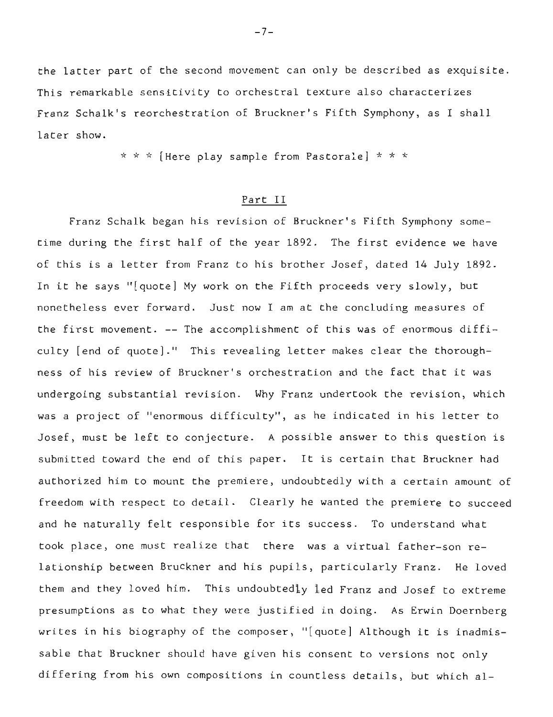the latter part of the second movement can only be described as exquisite. This remarkable sensitivity to orchestral texture also characterizes Franz Schalk's reorchestration of Bruckner's Fifth Symphony, as I shall later show.

\* \* \* [Here play sample from Pastorale] \* \* \*

## Part II

Franz Schalk began his revision of Bruckner's Fifth Symphony sometime during the first half of the year 1892. The first evidence we have of this is a letter from Franz to his brother Josef, dated 14 July 1892. In it he says "[quote] My work on the Fifth proceeds very slowly, but nonetheless ever forward. Just now I am at the concluding measures of the first movement. -- The accomplishment of this was of enormous difficulty [end of quote]." This revealing letter makes clear the thoroughness of his review of Bruckner's orchestration and the fact that it was undergoing substantial revision. Why Franz undertook the revision, which was a project of "enormous difficulty", as he indicated in his letter to Josef, must be left to conjecture. A possible answer to this question is submitted toward the end of this paper. It is certain that Bruckner had authorized him to mount the premiere, undoubtedly with a certain amount of freedom with respect to detail. Clearly he wanted the premiere to succeed and he naturally felt responsible for its success. To understand what took place, one must realize that there was a virtual father-son relationship between Bruckner and his pupils, particularly Franz. He loved them and they loved him. This undoubtedly led Franz and Josef to extreme presumptions as to what they were justified in doing. As Erwin Doernberg writes in his biography of the composer, "[quote] Although it is inadmissable that Bruckner should have given his consent to versions not only differing from his own compositions in countless details, but which al-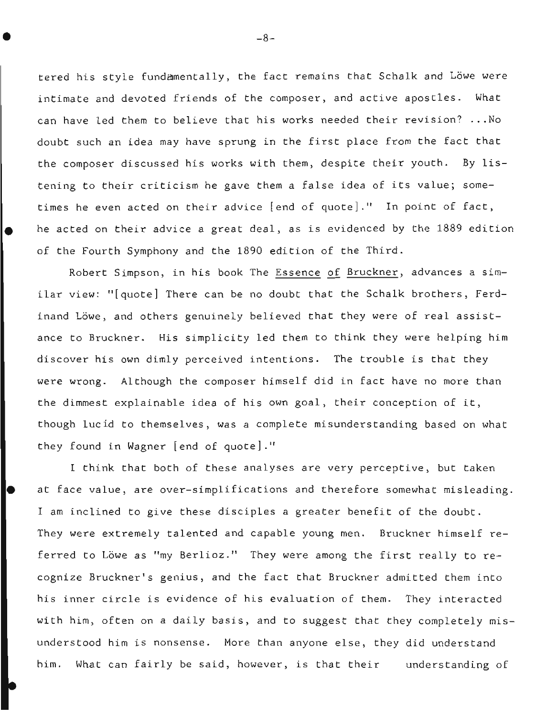tered his style fundamentally, the fact remains that Schalk and Löwe were intimate and devoted friends of the composer, and active apostles. What can have led them to believe that his works needed their revision? ...No doubt such an idea may have sprung in the first place from the fact that the composer discussed his works with them, despite their youth. By listening to their criticism he gave them a false idea of its value; sometimes he even acted on their advice [end of quote]." In point of fact, • he acted on their advice a great deal, as is evidenced by the 1889 edition of the Fourth Symphony and the 1890 edition of the Third.

Robert Simpson, in his book The Essence of Bruckner, advances a similar view: "[quote] There can be no doubt that the Schalk brothers, Ferdinand Löwe, and others genuinely believed that they were of real assistance to Bruckner. His simplicity led them to think they were helping him discover his own dimly perceived intentions. The trouble is that they were wrong. Although the composer himself did in fact have no more than the dimmest explainable idea of his own goal, their conception of it, though lucid to themselves, was a complete misunderstanding based on what they found in Wagner [end of quote]."

I think that both of these analyses are very perceptive, but taken • at face value, are over-simplifications and therefore somewhat misleading. I am inclined to give these disciples a greater benefit of the doubt. They were extremely talented and capable young men. Bruckner himself referred to Löwe as "my Berlioz." They were among the first really to recognize Bruckner's genius, and the fact that Bruckner admitted them into his inner circle is evidence of his evaluation of them. They interacted with him, often on a daily basis, and to suggest that they completely misunderstood him is nonsense. More than anyone else, they did understand him. What can fairly be said, however, is that their understanding of

 $-8-$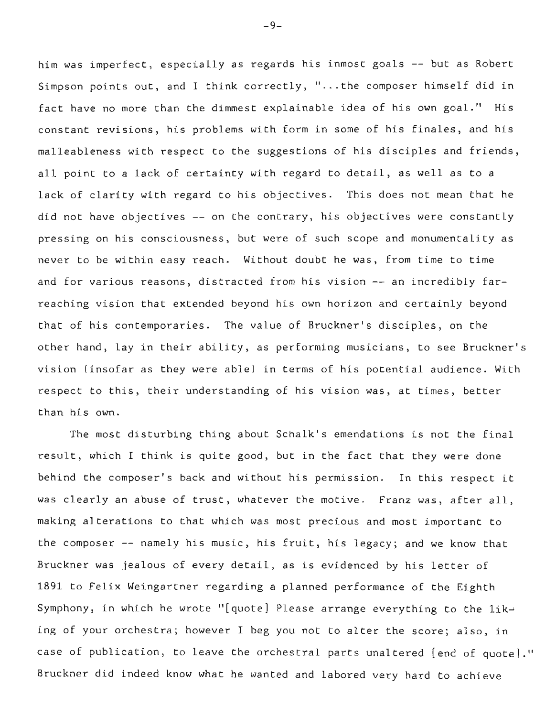him was imperfect, especially as regards his inmost goals -- but as Robert Simpson points out, and I think correctly, "...the composer himself did in fact have no more than the dimmest explainable idea of his own goal." His constant revisions, his problems with form in some of his finales, and his malleableness with respect to the suggestions of his disciples and friends, all point to a lack of certainty with regard to detail, as well as to a lack of clarity with regard to his objectives. This does not mean that he did not have objectives -- on the contrary, his objectives were constantly pressing on his consciousness, but were of such scope and monumentality as never to be within easy reach. Without doubt he was, from time to time and for various reasons, distracted from his vision -- an incredibly farreaching vision that extended beyond his own horizon and certainly beyond that of his contemporaries. The value of Bruckner's disciples, on the other hand, lay in their ability, as performing musicians, to see Bruckner's vision (insofar as they were able) in terms of his potential audience. With respect to this, their understanding of his vision was, at times, better than his own.

The most disturbing thing about Schalk's emendations is not the final result, which I think is quite good, but in the fact that they were done behind the composer's back and without his permission. In this respect it was clearly an abuse of trust, whatever the motive. Franz was, after all, making alterations to that which was most precious and most important to the composer -- namely his music, his fruit, his legacy; and we know that Bruckner was jealous of every detail, as is evidenced by his letter of 1891 to Felix Weingartner regarding a planned performance of the Eighth Symphony, in which he wrote "[quote] Please arrange everything to the liking of your orchestra; however I beg you not to alter the score; also, in case of publication, to leave the orchestral parts unaltered [end of quote]." Bruckner did indeed know what he wanted and labored very hard to achieve

-9-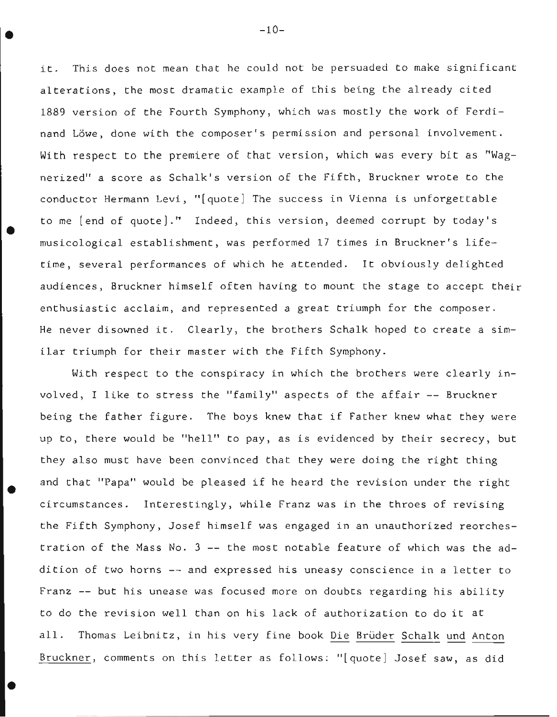it. This does not mean that he could not be persuaded to make significant alterations, the most dramatic example of this being the already cited 1889 version of the Fourth Symphony, which was mostly the work of Ferdinand Löwe, done with the composer's permission and personal involvement. With respect to the premiere of that version, which was every bit as "Wagnerized" a score as Schalk's version of the Fifth, Bruckner wrote to the conductor Hermann Levi, "[quote] The success in Vienna is unforgettable to me [end of quote]." Indeed, this version, deemed corrupt by today's musicological establishment, was performed 17 times in Bruckner's lifetime, several performances of which he attended. It obviously delighted audiences, Bruckner himself often having to mount the stage to accept their enthusiastic acclaim, and represented a great triumph for the composer. He never disowned it. Clearly, the brothers Schalk hoped to create a similar triumph for their master with the Fifth Symphony.

•

•

With respect to the conspiracy in which the brothers were clearly involved, I like to stress the "family" aspects of the affair -- Bruckner being the father figure. The boys knew that if Father knew what they were up to, there would be "hell" to pay, as is evidenced by their secrecy, but they also must have been convinced that they were doing the right thing and that "Papa" would be pleased if he heard the revision under the right circumstances. Interestingly, while Franz was in the throes of revising the Fifth Symphony, Josef himself was engaged in an unauthorized reorchestration of the Mass No. 3 -- the most notable feature of which was the addition of two horns -- and expressed his uneasy conscience in a letter to Franz -- but his unease was focused more on doubts regarding his ability to do the revision well than on his lack of authorization to do it at all. Thomas Leibnitz, in his very fine book Die Brüder Schalk und Anton Bruckner, comments on this letter as follows: "[quote] Josef saw, as did

 $-10-$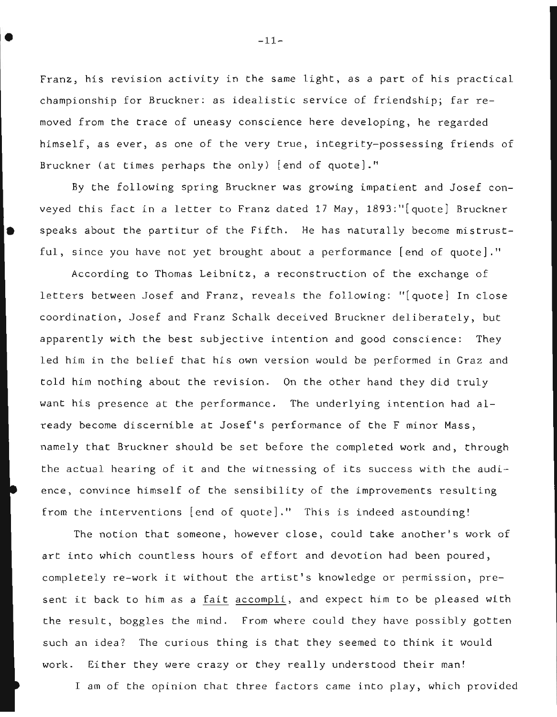Franz, his revision activity in the same light, as a part of his practical championship for Bruckner: as idealistic service of friendship; far removed from the trace of uneasy conscience here developing, he regarded himself, as ever, as one of the very true, integrity-possessing friends of Bruckner (at times perhaps the only) [end of quote]."

By the following spring Bruckner was growing impatient and Josef conveyed this fact in a letter to Franz dated 17 May, 1893:"[quote] Bruckner 5 speaks about the partitur of the Fifth. He has naturally become mistrustful, since you have not yet brought about a performance [end of quote]."

According to Thomas Leibnitz, a reconstruction of the exchange of letters between Josef and Franz, reveals the following: "[quote] In close coordination, Josef and Franz Schalk deceived Bruckner deliberately, but apparently with the best subjective intention and good conscience: They led him in the belief that his own version would be performed in Graz and told him nothing about the revision. On the other hand they did truly want his presence at the performance. The underlying intention had already become discernible at Josef's performance of the F minor Mass, namely that Bruckner should be set before the completed work and, through the actual hearing of it and the witnessing of its success with the audience, convince himself of the sensibility of the improvements resulting from the interventions [end of quote]." This is indeed astounding!

The notion that someone, however close, could take another's work of art into which countless hours of effort and devotion had been poured, completely re-work it without the artist's knowledge or permission, present it back to him as a fait accompli, and expect him to be pleased with the result, boggles the mind. From where could they have possibly gotten such an idea? The curious thing is that they seemed to think it would work. Either they were crazy or they really understood their man!

I am of the opinion that three factors came into play, which provided

 $\bullet$   $-11$ -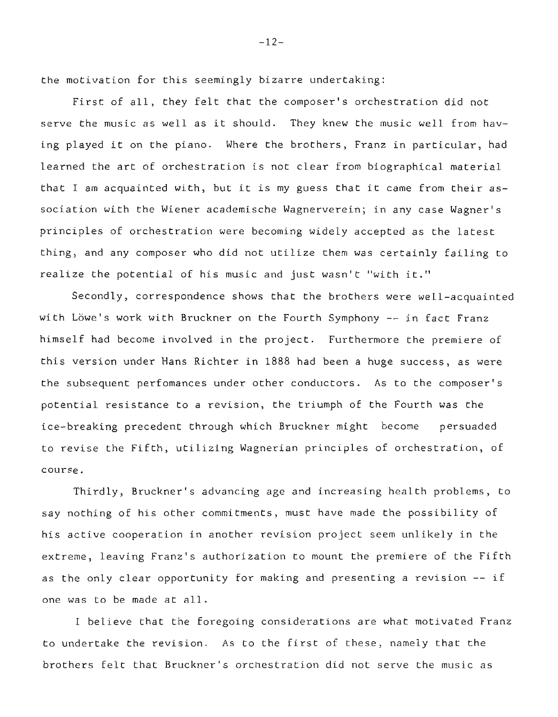the motivation for this seemingly bizarre undertaking:

First of all, they felt that the composer's orchestration did not serve the music as well as it should. They knew the music well from having played it on the piano. Where the brothers, Franz in particular, had learned the art of orchestration is not clear from biographical material that I am acquainted with, but it is my guess that it came from their association with the Wiener academische Wagnerverein; in any case Wagner's principles of orchestration were becoming widely accepted as the latest thing, and any composer who did not utilize them was certainly failing to realize the potential of his music and just wasn't "with it."

Secondly, correspondence shows that the brothers were well-acquainted with Löwe's work with Bruckner on the Fourth Symphony -- in fact Franz himself had become involved in the project. Furthermore the premiere of this version under Hans Richter in 1888 had been a huge success, as were the subsequent perfomances under other conductors. As to the composer's potential resistance to a revision, the triumph of the Fourth was the ice-breaking precedent through which Bruckner might become persuaded to revise the Fifth, utilizing Wagnerian principles of orchestration, of course.

Thirdly, Bruckner's advancing age and increasing health problems, to say nothing of his other commitments, must have made the possibility of his active cooperation in another revision project seem unlikely in the extreme, leaving Franz's authorization to mount the premiere of the Fifth as the only clear opportunity for making and presenting a revision -- if one was to be made at all.

I believe that the foregoing considerations are what motivated Franz to undertake the revision. As to the first of these, namely that the brothers felt that Bruckner's orchestration did not serve the music as

 $-12-$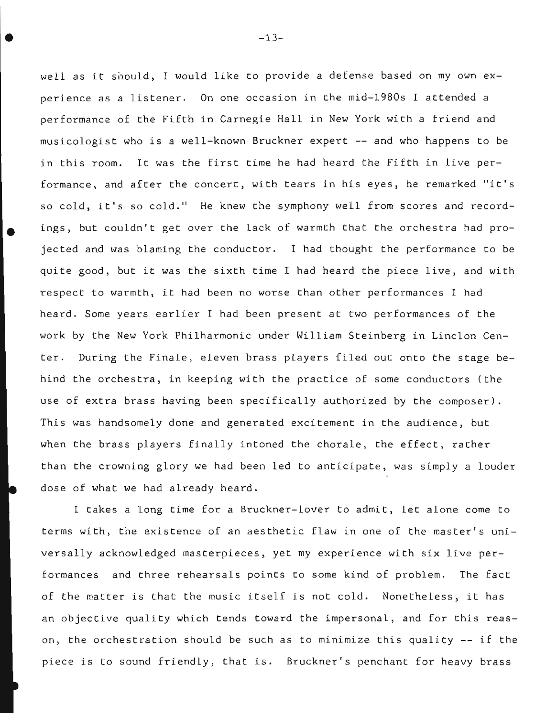well as it should, I would like to provide a defense based on my own experience as a listener. On one occasion in the mid-1980s I attended a performance of the Fifth in Carnegie Hall in New York with a friend and musicologist who is a well-known Bruckner expert -- and who happens to be in this room. It was the first time he had heard the Fifth in live performance, and after the concert, with tears in his eyes, he remarked "it's so cold, it's so cold." He knew the symphony well from scores and record ings, but couldn't get over the lack of warmth that the orchestra had projected and was blaming the conductor. I had thought the performance to be quite good, but it was the sixth time I had heard the piece live, and with respect to warmth, it had been no worse than other performances I had heard. Some years earlier I had been present at two performances of the work by the New York Philharmonic under William Steinberg in Linclon Center. During the Finale, eleven brass players filed out onto the stage behind the orchestra, in keeping with the practice of some conductors (the use of extra brass having been specifically authorized by the composer). This was handsomely done and generated excitement in the audience, but when the brass players finally intoned the chorale, the effect, rather than the crowning glory we had been led to anticipate, was simply a louder dose of what we had already heard.

I takes a long time for a Bruckner-lover to admit, let alone come to terms with, the existence of an aesthetic flaw in one of the master's universally acknowledged masterpieces, yet my experience with six live performances and three rehearsals points to some kind of problem. The fact of the matter is that the music itself is not cold. Nonetheless, it has an objective quality which tends toward the impersonal, and for this reason, the orchestration should be such as to minimize this quality -- if the piece is to sound friendly, that is. Bruckner's penchant for heavy brass

 $-13-$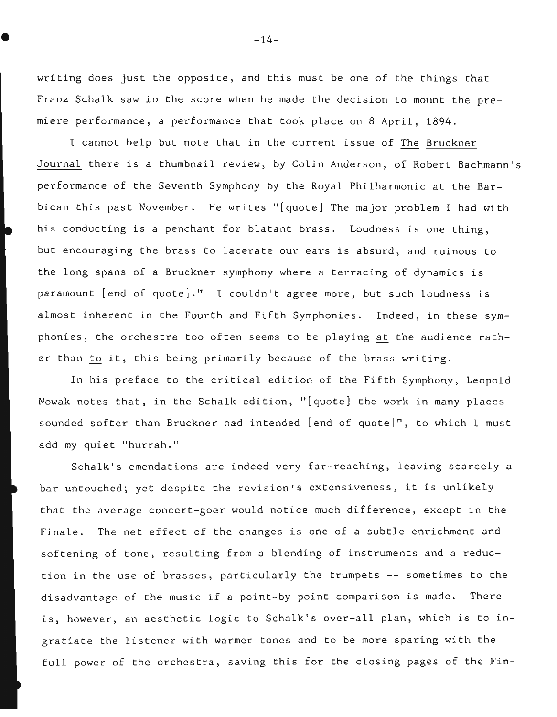writing does just the opposite, and this must be one of the things that Franz Schalk saw in the score when he made the decision to mount the premiere performance, a performance that took place on 8 April, 1894.

I cannot help but note that in the current issue of The Bruckner Journal there is a thumbnail review, by Colin Anderson, of Robert Bachmann's performance of the Seventh Symphony by the Royal Philharmonic at the Barbican this past November. He writes "[quote] The major problem I had with his conducting is a penchant for blatant brass. Loudness is one thing, but encouraging the brass to lacerate our ears is absurd, and ruinous to the long spans of a Bruckner symphony where a terracing of dynamics is paramount [end of quote]." I couldn't agree more, but such loudness is almost inherent in the Fourth and Fifth Symphonies. Indeed, in these symphonies, the orchestra too often seems to be playing at the audience rather than to it, this being primarily because of the brass-writing.

In his preface to the critical edition of the Fifth Symphony, Leopold Nowak notes that, in the Schalk edition, "[quote] the work in many places sounded softer than Bruckner had intended [end of quote]", to which I must add my quiet "hurrah."

Schalk's emendations are indeed very far-reaching, leaving scarcely a bar untouched; yet despite the revision's extensiveness, it is unlikely that the average concert-goer would notice much difference, except in the Finale. The net effect of the changes is one of a subtle enrichment and softening of tone, resulting from a blending of instruments and a reduction in the use of brasses, particularly the trumpets -- sometimes to the disadvantage of the music if a point-by-point comparison is made. There is, however, an aesthetic logic to Schalk's over-all plan, which is to ingratiate the listener with warmer tones and to be more sparing with the full power of the orchestra, saving this for the closing pages of the Fin-

 $-14-$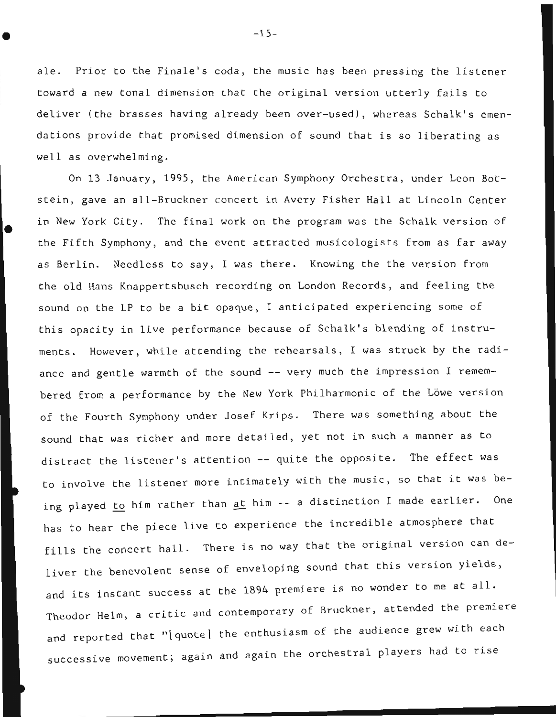ale. Prior to the Finale's coda, the music has been pressing the listener toward a new tonal dimension that the original version utterly fails to deliver (the brasses having already been over-used), whereas Schalk's emendations provide that promised dimension of sound that is so liberating as well as overwhelming.

•

On 13 January, 1995, the American Symphony Orchestra, under Leon Botstein, gave an all-Bruckner concert in Avery Fisher Hall at Lincoln Center in New York City. The final work on the program was the Schalk version of the Fifth Symphony, and the event attracted musicologists from as far away as Berlin. Needless to say, I was there. Knowing the the version from the old Hans Knappertsbusch recording on London Records, and feeling the sound on the LP to be a bit opaque, I anticipated experiencing some of this opacity in live performance because of Schalk's blending of instruments. However, while attending the rehearsals, I was struck by the radiance and gentle warmth of the sound  $-$ - very much the impression  $I$  remembered from a performance by the New York Philharmonic of the Löwe version of the Fourth Symphony under Josef Krips. There was something about the sound that was richer and more detailed, yet not in such a manner as to distract the listener's attention -- quite the opposite. The effect was to involve the listener more intimately with the music, so that it was being played to him rather than at him -- a distinction I made earlier. One has to hear the piece live to experience the incredible atmosphere that fills the concert hall. There is no way that the original version can deliver the benevolent sense of enveloping sound that this version yields, and its instant success at the 1894 premiere is no wonder to me at all. Theodor Helm, a critic and contemporary of Bruckner, attended the premiere and reported that "[quote] the enthusiasm of the audience grew with each successive movement; again and again the orchestral players had to rise

 $-15-$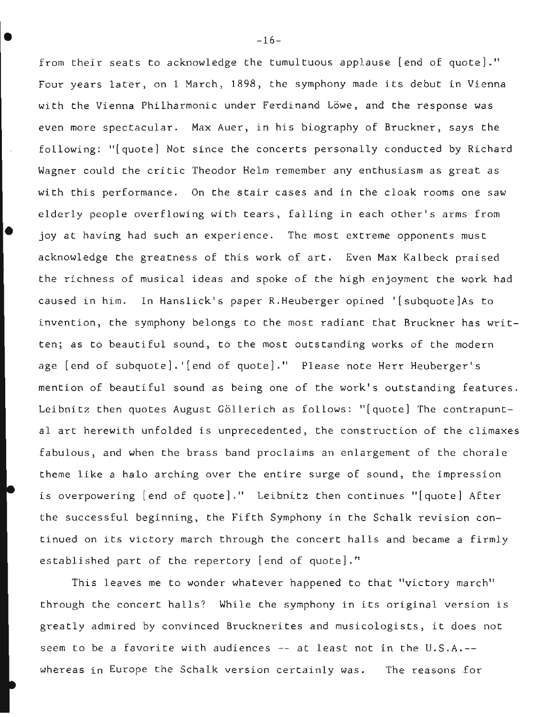from their seats to acknowledge the tumultuous applause [end of quote]." Four years later, on 1 March, 1898, the symphony made its debut in Vienna with the Vienna Philharmonic under Ferdinand Löwe, and the response was even more spectacular. Max Auer, in his biography of Bruckner, says the following: "[quote] Not since the concerts personally conducted by Richard Wagner could the critic Theodor Helm remember any enthusiasm as great as with this performance. On the stair cases and in the cloak rooms one saw elderly people overflowing with tears, falling in each other's arms from joy at having had such an experience. The most extreme opponents must acknowledge the greatness of this work of art. Even Max Kalbeck praised the richness of musical ideas and spoke of the high enjoyment the work had caused in him. In Hanslick's paper R.Heuberger opined '[subquote]As to invention, the symphony belongs to the most radiant that Bruckner has written; as to beautiful sound, to the most outstanding works of the modern age [end of subquote].'[end of quote]." Please note Herr Heuberger's mention of beautiful sound as being one of the work's outstanding features. Leibnitz then quotes August Göllerich as follows: "[quote] The contrapuntal art herewith unfolded is unprecedented, the construction of the climaxes fabulous, and when the brass band proclaims an enlargement of the chorale theme like a halo arching over the entire surge of sound, the impression is overpowering [end of quote]." Leibnitz then continues "[quote] After the successful beginning, the Fifth Symphony in the Schalk revision continued on its victory march through the concert halls and became a firmly established part of the repertory [end of quote]."

This leaves me to wonder whatever happened to that "victory march" through the concert halls? While the symphony in its original version is greatly admired by convinced Brucknerites and musicologists, it does not seem to be a favorite with audiences  $-$  at least not in the U.S.A. $-$ whereas in Europe the Schalk version certainly was. The reasons for

 $-16-$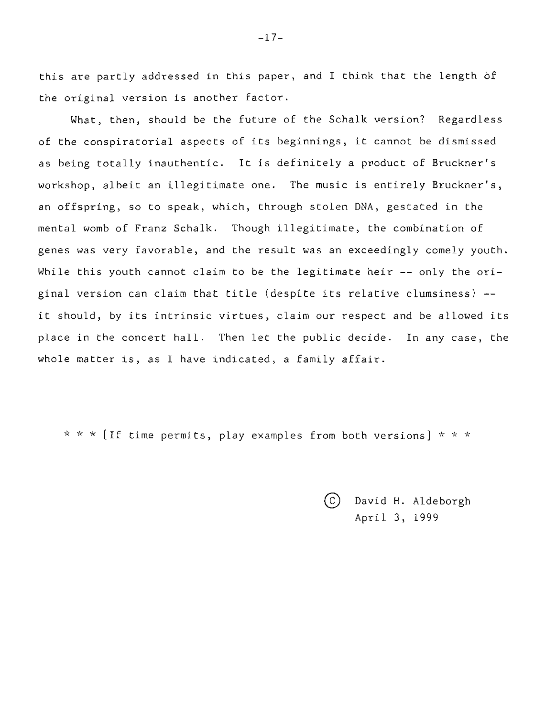this are partly addressed in this paper, and I think that the length of the original version is another factor.

What, then, should be the future of the Schalk version? Regardless of the conspiratorial aspects of its beginnings, it cannot be dismissed as being totally inauthentic. It is definitely a product of Bruckner's workshop, albeit an illegitimate one. The music is entirely Bruckner's, an offspring, so to speak, which, through stolen DNA, gestated in the mental womb of Franz Schalk. Though illegitimate, the combination of genes was very favorable, and the result was an exceedingly comely youth. While this youth cannot claim to be the legitimate heir -- only the original version can claim that title (despite its relative clumsiness) - it should, by its intrinsic virtues, claim our respect and be allowed its place in the concert hall. Then let the public decide. In any case, the whole matter is, as I have indicated, a family affair.

\* \* \* [If time permits, play examples from both versions] \* \* \*

CO David H. Aldeborgh April 3, 1999